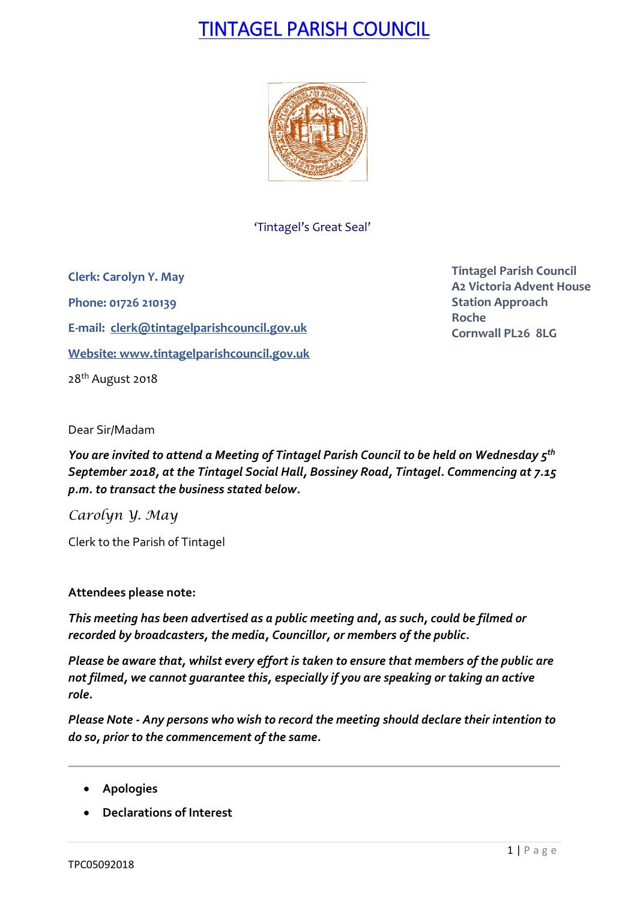# TINTAGEL PARISH COUNCIL



'Tintagel's Great Seal'

**Clerk: Carolyn Y. May Phone: 01726 210139 E-mail: [clerk@tintagelparishcouncil.gov.uk](mailto:clerk@tintagelparishcouncil.gov.uk) Website: [www.tintagelparishcouncil.gov.uk](http://www.tintagelparishcouncil.gov.uk/)** 28<sup>th</sup> August 2018

**Tintagel Parish Council A2 Victoria Advent House Station Approach Roche Cornwall PL26 8LG**

Dear Sir/Madam

*You are invited to attend a Meeting of Tintagel Parish Council to be held on Wednesday 5 th September 2018, at the Tintagel Social Hall, Bossiney Road, Tintagel. Commencing at 7.15 p.m. to transact the business stated below.*

*Carolyn Y. May*

Clerk to the Parish of Tintagel

## **Attendees please note:**

*This meeting has been advertised as a public meeting and, as such, could be filmed or recorded by broadcasters, the media, Councillor, or members of the public.*

*Please be aware that, whilst every effort is taken to ensure that members of the public are not filmed, we cannot guarantee this, especially if you are speaking or taking an active role.*

*Please Note - Any persons who wish to record the meeting should declare their intention to do so, prior to the commencement of the same.*

- **Apologies**
- **Declarations of Interest**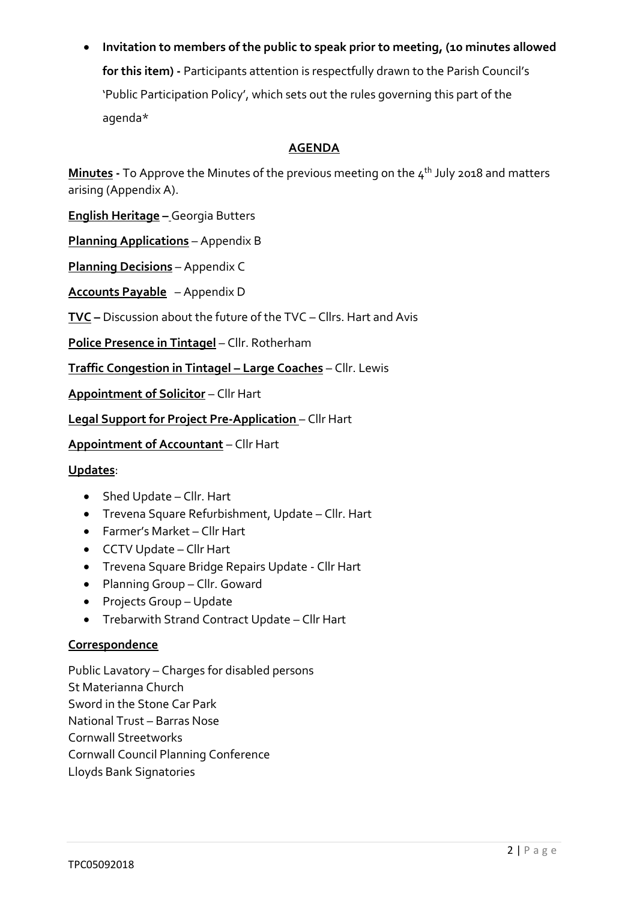• **Invitation to members of the public to speak prior to meeting, (10 minutes allowed** 

**for this item) -** Participants attention is respectfully drawn to the Parish Council's 'Public Participation Policy', which sets out the rules governing this part of the agenda\*

# **AGENDA**

**Minutes -** To Approve the Minutes of the previous meeting on the 4 th July 2018 and matters arising (Appendix A).

**English Heritage –** Georgia Butters

**Planning Applications** – Appendix B

**Planning Decisions** – Appendix C

**Accounts Payable** – Appendix D

**TVC –** Discussion about the future of the TVC – Cllrs. Hart and Avis

**Police Presence in Tintagel** – Cllr. Rotherham

**Traffic Congestion in Tintagel – Large Coaches** – Cllr. Lewis

**Appointment of Solicitor** – Cllr Hart

**Legal Support for Project Pre-Application** – Cllr Hart

**Appointment of Accountant** – Cllr Hart

#### **Updates**:

- Shed Update Cllr. Hart
- Trevena Square Refurbishment, Update Cllr. Hart
- Farmer's Market Cllr Hart
- CCTV Update Cllr Hart
- Trevena Square Bridge Repairs Update Cllr Hart
- Planning Group Cllr. Goward
- Projects Group Update
- Trebarwith Strand Contract Update Cllr Hart

## **Correspondence**

Public Lavatory – Charges for disabled persons St Materianna Church Sword in the Stone Car Park National Trust – Barras Nose Cornwall Streetworks Cornwall Council Planning Conference Lloyds Bank Signatories